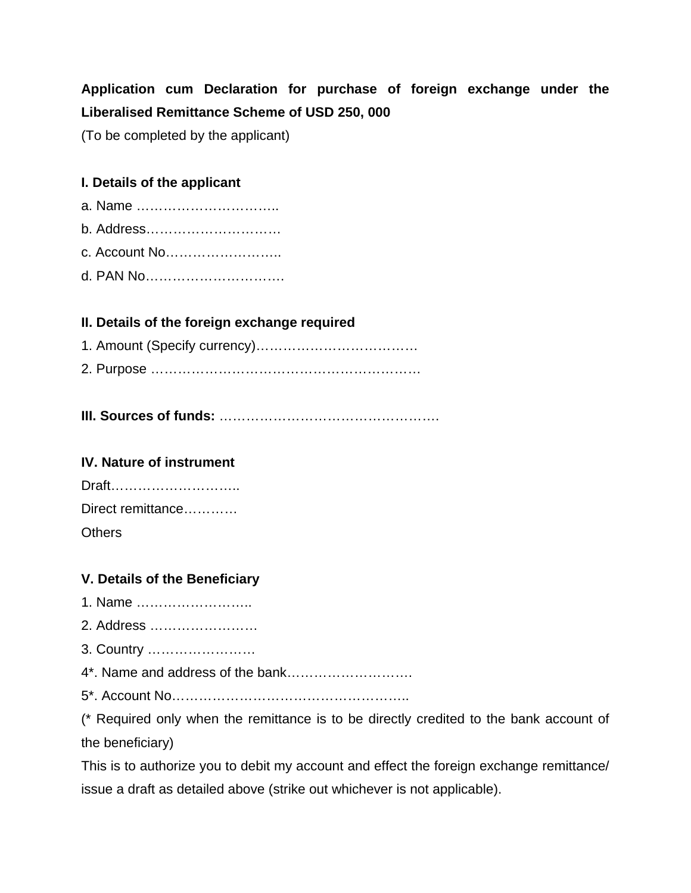# **Application cum Declaration for purchase of foreign exchange under the Liberalised Remittance Scheme of USD 250, 000**

(To be completed by the applicant)

### **I. Details of the applicant**

- a. Name …………………………..
- b. Address…………………………
- c. Account No……………………..
- d. PAN No………………………….

### **II. Details of the foreign exchange required**

- 1. Amount (Specify currency)……………………………… 2. Purpose ……………………………………………………
- **III. Sources of funds:** ………………………………………….

#### **IV. Nature of instrument**

| Draft             |
|-------------------|
| Direct remittance |
| <b>Others</b>     |

# **V. Details of the Beneficiary**

- 1. Name ……………………..
- 2. Address ……………………
- 3. Country ……………………
- 4\*. Name and address of the bank……………………….
- 5\*. Account No……………………………………………..

(\* Required only when the remittance is to be directly credited to the bank account of the beneficiary)

This is to authorize you to debit my account and effect the foreign exchange remittance/ issue a draft as detailed above (strike out whichever is not applicable).